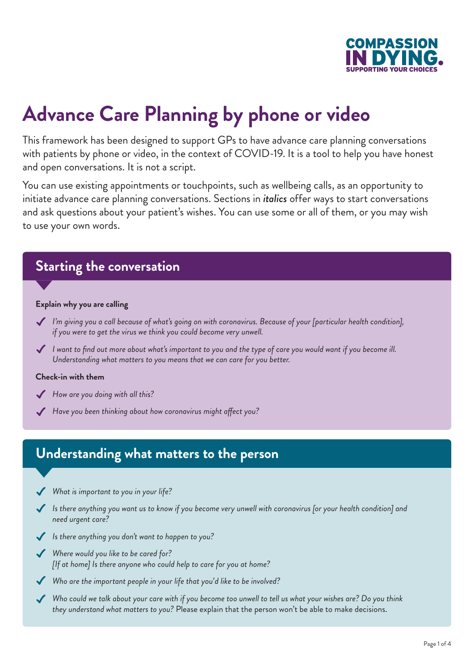

# **Advance Care Planning by phone or video**

This framework has been designed to support GPs to have advance care planning conversations with patients by phone or video, in the context of COVID-19. It is a tool to help you have honest and open conversations. It is not a script.

You can use existing appointments or touchpoints, such as wellbeing calls, as an opportunity to initiate advance care planning conversations. Sections in *italics* offer ways to start conversations and ask questions about your patient's wishes. You can use some or all of them, or you may wish to use your own words.

## **Starting the conversation**

#### **Explain why you are calling**

- *I'm giving you a call because of what's going on with coronavirus. Because of your [particular health condition], if you were to get the virus we think you could become very unwell.*
- *I want to find out more about what's important to you and the type of care you would want if you become ill. Understanding what matters to you means that we can care for you better.*

#### **Check-in with them**

- *How are you doing with all this?*
- *Have you been thinking about how coronavirus might affect you?*

## **Understanding what matters to the person**

- *What is important to you in your life?*  $\checkmark$
- *Is there anything you want us to know if you become very unwell with coronavirus [or your health condition] and need urgent care?*
- *Is there anything you don't want to happen to you?*
- *Where would you like to be cared for? [If at home] Is there anyone who could help to care for you at home?*
- *Who are the important people in your life that you'd like to be involved?*  $\checkmark$
- *Who could we talk about your care with if you become too unwell to tell us what your wishes are? Do you think they understand what matters to you?* Please explain that the person won't be able to make decisions.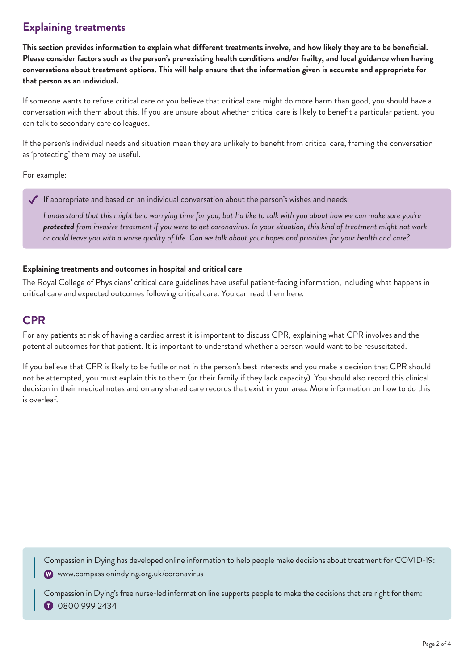## **Explaining treatments**

**This section provides information to explain what different treatments involve, and how likely they are to be beneficial. Please consider factors such as the person's pre-existing health conditions and/or frailty, and local guidance when having conversations about treatment options. This will help ensure that the information given is accurate and appropriate for that person as an individual.**

If someone wants to refuse critical care or you believe that critical care might do more harm than good, you should have a conversation with them about this. If you are unsure about whether critical care is likely to benefit a particular patient, you can talk to secondary care colleagues.

If the person's individual needs and situation mean they are unlikely to benefit from critical care, framing the conversation as 'protecting' them may be useful.

For example:

If appropriate and based on an individual conversation about the person's wishes and needs:

*I understand that this might be a worrying time for you, but I'd like to talk with you about how we can make sure you're protected from invasive treatment if you were to get coronavirus. In your situation, this kind of treatment might not work or could leave you with a worse quality of life. Can we talk about your hopes and priorities for your health and care?*

### **Explaining treatments and outcomes in hospital and critical care**

The Royal College of Physicians' critical care guidelines have useful patient-facing information, including what happens in critical care and expected outcomes following critical care. You can read them [here](https://www.criticalcarenice.org.uk/patient-information).

## **CPR**

For any patients at risk of having a cardiac arrest it is important to discuss CPR, explaining what CPR involves and the potential outcomes for that patient. It is important to understand whether a person would want to be resuscitated.

If you believe that CPR is likely to be futile or not in the person's best interests and you make a decision that CPR should not be attempted, you must explain this to them (or their family if they lack capacity). You should also record this clinical decision in their medical notes and on any shared care records that exist in your area. More information on how to do this is overleaf.

Compassion in Dying has developed online information to help people make decisions about treatment for COVID-19: www.compassionindying.org.uk/coronavirus

Compassion in Dying's free nurse-led information line supports people to make the decisions that are right for them: 0800 999 2434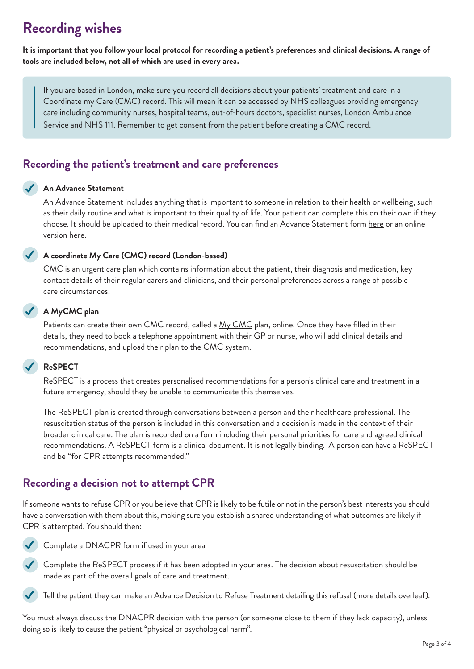## **Recording wishes**

**It is important that you follow your local protocol for recording a patient's preferences and clinical decisions. A range of tools are included below, not all of which are used in every area.**

 If you are based in London, make sure you record all decisions about your patients' treatment and care in a Coordinate my Care (CMC) record. This will mean it can be accessed by NHS colleagues providing emergency care including community nurses, hospital teams, out-of-hours doctors, specialist nurses, London Ambulance Service and NHS 111. Remember to get consent from the patient before creating a CMC record.

## **Recording the patient's treatment and care preferences**

### **An Advance Statement**

 An Advance Statement includes anything that is important to someone in relation to their health or wellbeing, such as their daily routine and what is important to their quality of life. Your patient can complete this on their own if they choose. It should be uploaded to their medical record. You can find an Advance Statement form [here](https://compassionindying.org.uk/library/advance-statement/) or an online version [here](https://mydecisions.org.uk/).

### **A coordinate My Care (CMC) record (London-based)**

 CMC is an urgent care plan which contains information about the patient, their diagnosis and medication, key contact details of their regular carers and clinicians, and their personal preferences across a range of possible care circumstances.

### **A MyCMC plan**

Patients can create their own CMC record, called a [My CMC](https://www.mycmc.online/public/index.html#/home) plan, online. Once they have filled in their details, they need to book a telephone appointment with their GP or nurse, who will add clinical details and recommendations, and upload their plan to the CMC system.

### **ReSPECT**

 ReSPECT is a process that creates personalised recommendations for a person's clinical care and treatment in a future emergency, should they be unable to communicate this themselves.

 The ReSPECT plan is created through conversations between a person and their healthcare professional. The resuscitation status of the person is included in this conversation and a decision is made in the context of their broader clinical care. The plan is recorded on a form including their personal priorities for care and agreed clinical recommendations. A ReSPECT form is a clinical document. It is not legally binding. A person can have a ReSPECT and be "for CPR attempts recommended."

## **Recording a decision not to attempt CPR**

If someone wants to refuse CPR or you believe that CPR is likely to be futile or not in the person's best interests you should have a conversation with them about this, making sure you establish a shared understanding of what outcomes are likely if CPR is attempted. You should then:



Complete a DNACPR form if used in your area

◆ Complete the ReSPECT process if it has been adopted in your area. The decision about resuscitation should be made as part of the overall goals of care and treatment.



You must always discuss the DNACPR decision with the person (or someone close to them if they lack capacity), unless doing so is likely to cause the patient "physical or psychological harm".